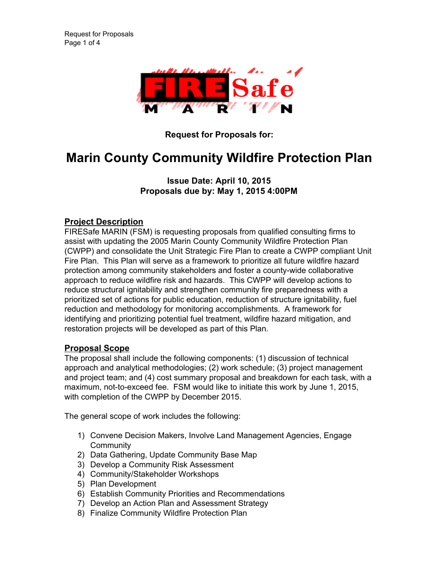

**Request for Proposals for:**

# **Marin County Community Wildfire Protection Plan**

# **Issue Date: April 10, 2015 Proposals due by: May 1, 2015 4:00PM**

# **Project Description**

FIRESafe MARIN (FSM) is requesting proposals from qualified consulting firms to assist with updating the 2005 Marin County Community Wildfire Protection Plan (CWPP) and consolidate the Unit Strategic Fire Plan to create a CWPP compliant Unit Fire Plan. This Plan will serve as a framework to prioritize all future wildfire hazard protection among community stakeholders and foster a county-wide collaborative approach to reduce wildfire risk and hazards. This CWPP will develop actions to reduce structural ignitability and strengthen community fire preparedness with a prioritized set of actions for public education, reduction of structure ignitability, fuel reduction and methodology for monitoring accomplishments. A framework for identifying and prioritizing potential fuel treatment, wildfire hazard mitigation, and restoration projects will be developed as part of this Plan.

## **Proposal Scope**

The proposal shall include the following components: (1) discussion of technical approach and analytical methodologies; (2) work schedule; (3) project management and project team; and (4) cost summary proposal and breakdown for each task, with a maximum, not-to-exceed fee. FSM would like to initiate this work by June 1, 2015, with completion of the CWPP by December 2015.

The general scope of work includes the following:

- 1) Convene Decision Makers, Involve Land Management Agencies, Engage **Community**
- 2) Data Gathering, Update Community Base Map
- 3) Develop a Community Risk Assessment
- 4) Community/Stakeholder Workshops
- 5) Plan Development
- 6) Establish Community Priorities and Recommendations
- 7) Develop an Action Plan and Assessment Strategy
- 8) Finalize Community Wildfire Protection Plan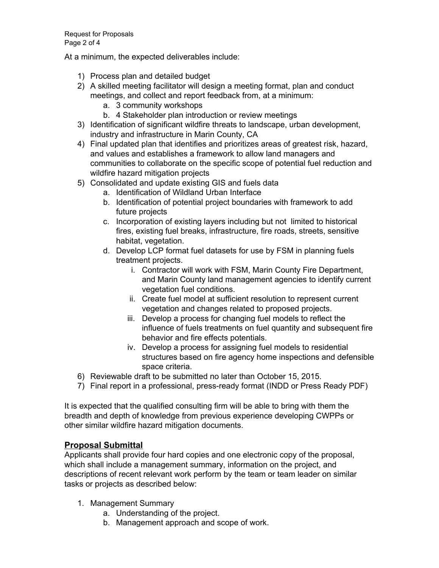At a minimum, the expected deliverables include:

- 1) Process plan and detailed budget
- 2) A skilled meeting facilitator will design a meeting format, plan and conduct meetings, and collect and report feedback from, at a minimum:
	- a. 3 community workshops
	- b. 4 Stakeholder plan introduction or review meetings
- 3) Identification of significant wildfire threats to landscape, urban development, industry and infrastructure in Marin County, CA
- 4) Final updated plan that identifies and prioritizes areas of greatest risk, hazard, and values and establishes a framework to allow land managers and communities to collaborate on the specific scope of potential fuel reduction and wildfire hazard mitigation projects
- 5) Consolidated and update existing GIS and fuels data
	- a. Identification of Wildland Urban Interface
	- b. Identification of potential project boundaries with framework to add future projects
	- c. Incorporation of existing layers including but not limited to historical fires, existing fuel breaks, infrastructure, fire roads, streets, sensitive habitat, vegetation.
	- d. Develop LCP format fuel datasets for use by FSM in planning fuels treatment projects.
		- i. Contractor will work with FSM, Marin County Fire Department, and Marin County land management agencies to identify current vegetation fuel conditions.
		- ii. Create fuel model at sufficient resolution to represent current vegetation and changes related to proposed projects.
		- iii. Develop a process for changing fuel models to reflect the influence of fuels treatments on fuel quantity and subsequent fire behavior and fire effects potentials.
		- iv. Develop a process for assigning fuel models to residential structures based on fire agency home inspections and defensible space criteria.
- 6) Reviewable draft to be submitted no later than October 15, 2015.
- 7) Final report in a professional, pressready format (INDD or Press Ready PDF)

It is expected that the qualified consulting firm will be able to bring with them the breadth and depth of knowledge from previous experience developing CWPPs or other similar wildfire hazard mitigation documents.

## **Proposal Submittal**

Applicants shall provide four hard copies and one electronic copy of the proposal, which shall include a management summary, information on the project, and descriptions of recent relevant work perform by the team or team leader on similar tasks or projects as described below:

- 1. Management Summary
	- a. Understanding of the project.
	- b. Management approach and scope of work.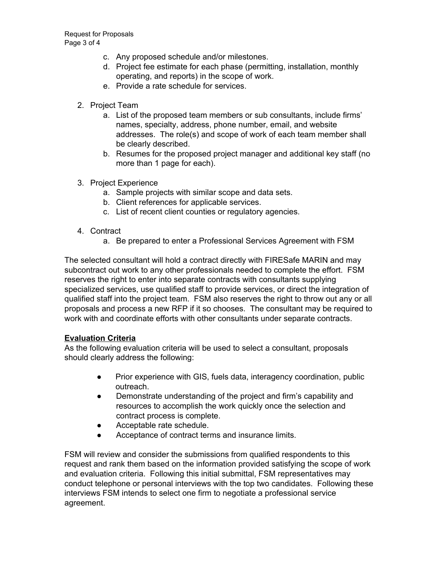- c. Any proposed schedule and/or milestones.
- d. Project fee estimate for each phase (permitting, installation, monthly operating, and reports) in the scope of work.
- e. Provide a rate schedule for services.
- 2. Project Team
	- a. List of the proposed team members or sub consultants, include firms' names, specialty, address, phone number, email, and website addresses. The role(s) and scope of work of each team member shall be clearly described.
	- b. Resumes for the proposed project manager and additional key staff (no more than 1 page for each).
- 3. Project Experience
	- a. Sample projects with similar scope and data sets.
	- b. Client references for applicable services.
	- c. List of recent client counties or regulatory agencies.
- 4. Contract
	- a. Be prepared to enter a Professional Services Agreement with FSM

The selected consultant will hold a contract directly with FIRESafe MARIN and may subcontract out work to any other professionals needed to complete the effort. FSM reserves the right to enter into separate contracts with consultants supplying specialized services, use qualified staff to provide services, or direct the integration of qualified staff into the project team. FSM also reserves the right to throw out any or all proposals and process a new RFP if it so chooses. The consultant may be required to work with and coordinate efforts with other consultants under separate contracts.

#### **Evaluation Criteria**

As the following evaluation criteria will be used to select a consultant, proposals should clearly address the following:

- Prior experience with GIS, fuels data, interagency coordination, public outreach.
- Demonstrate understanding of the project and firm's capability and resources to accomplish the work quickly once the selection and contract process is complete.
- Acceptable rate schedule.
- Acceptance of contract terms and insurance limits.

FSM will review and consider the submissions from qualified respondents to this request and rank them based on the information provided satisfying the scope of work and evaluation criteria. Following this initial submittal, FSM representatives may conduct telephone or personal interviews with the top two candidates. Following these interviews FSM intends to select one firm to negotiate a professional service agreement.